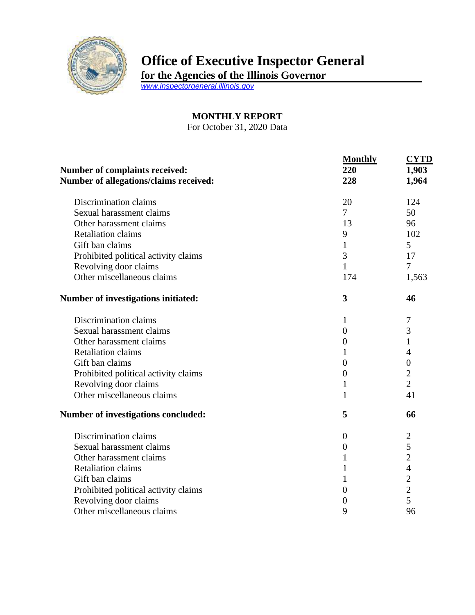

## **Office of Executive Inspector General**

**for the Agencies of the Illinois Governor**

*[www.inspectorgeneral.illinois.gov](http://www.inspectorgeneral.illinois.gov/)*

## **MONTHLY REPORT**

For October 31, 2020 Data

|                                        | <b>Monthly</b>   | <b>CYTD</b>      |
|----------------------------------------|------------------|------------------|
| <b>Number of complaints received:</b>  | 220              | 1,903            |
| Number of allegations/claims received: | 228              | 1,964            |
| Discrimination claims                  | 20               | 124              |
| Sexual harassment claims               | $\overline{7}$   | 50               |
| Other harassment claims                | 13               | 96               |
| <b>Retaliation claims</b>              | 9                | 102              |
| Gift ban claims                        | 1                | 5                |
| Prohibited political activity claims   | 3                | 17               |
| Revolving door claims                  | $\mathbf{1}$     | $\overline{7}$   |
| Other miscellaneous claims             | 174              | 1,563            |
| Number of investigations initiated:    | 3                | 46               |
| Discrimination claims                  | 1                | 7                |
| Sexual harassment claims               | $\overline{0}$   | 3                |
| Other harassment claims                | $\theta$         | 1                |
| <b>Retaliation claims</b>              | 1                | 4                |
| Gift ban claims                        | $\boldsymbol{0}$ | $\boldsymbol{0}$ |
| Prohibited political activity claims   | $\boldsymbol{0}$ | $\overline{c}$   |
| Revolving door claims                  | 1                | $\overline{2}$   |
| Other miscellaneous claims             | $\mathbf{1}$     | 41               |
| Number of investigations concluded:    | 5                | 66               |
| Discrimination claims                  | $\overline{0}$   | $\overline{c}$   |
| Sexual harassment claims               | $\boldsymbol{0}$ | 5                |
| Other harassment claims                | 1                | $\overline{2}$   |
| <b>Retaliation claims</b>              | 1                | $\overline{4}$   |
| Gift ban claims                        | $\mathbf{1}$     | $\frac{2}{2}$    |
| Prohibited political activity claims   | $\overline{0}$   |                  |
| Revolving door claims                  | $\boldsymbol{0}$ | 5                |
| Other miscellaneous claims             | 9                | 96               |